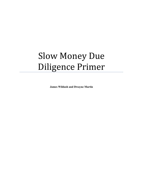# Slow Money Due Diligence Primer

**James Wildash and Dwayne Martin**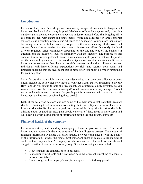# **Introduction**

For many, the phrase "due diligence" conjures up images of accountants, lawyers and investment bankers locked away in plush Manhattan offices for days on end, crunching numbers and analyzing corporate strategy and industry trends before finally going off to celebrate the deal with cigars and single malts. While due diligence for large corporate transactions is a daunting process, due diligence as a concept is nothing more than simply becoming familiar with the business, to get a better understanding of the risks and returns, financial or otherwise, that the potential investment offers. Obviously, the level of work required varies enormously depending on the size and type of the business in question and the investor's level of familiarity with the industry. The purpose of this document is to provide potential investors with some simple pointers that will hopefully aid them when they undertake their own due diligence on potential investments. It is also important to recognize that there is no right answer in the due diligence process. Individuals will have differing expectations for risks and returns, both social and financial, meaning that an investment that is perfect for you might be wholly unsuitable for your neighbor.

Some factors that you might want to consider during your own due diligence process might include the following: how much of your net worth are you intending to invest? How long do you intend to hold the investment? As a potential equity investor, do you want a say in how the company is managed? What financial return do you expect? What social and environmental impacts do you hope this investment will have and is this investment the best way of achieving those goals?

Each of the following sections outlines some of the main issues that potential investors should be looking to address when conducting their due diligence process. This is far from an exhaustive list, but more a guide as to some of the things that investors should be thinking about. A good business plan should cover all of these areas in more depth and will likely be a very useful source of information during the due diligence process.

## **Financial health of the company**

For new investors, understanding a company's financial position is one of the most important, and potentially daunting aspects of the due diligence process. The amount of financial information available will differ greatly between companies as will the quality of the information. Perhaps the single most important question relates to the amount of debt that the company has. A company which does not have the cash to meet its debt obligations will not stay in business very long. Other important questions include:

- How long has the company been in business?
- Is it currently profitable and if not, when does management expect the company to become profitable?
- How strong are the company's margins compared to its industry peers?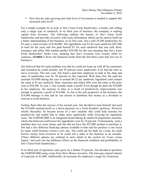• How fast are sales growing and what level of investment is needed to support this increased sales level?

For a simple example let us look at Jim's Farm Fresh Sandwiches, a trendy café selling only a single type of sandwich. In its third year of business, the company is seeking capital from investors. The following outlines the history of Jim's Farm Fresh Sandwiches and provides investors with some information which can be used to build up a better understanding of the business. In its first year, Jim's sold 29,200 sandwiches for \$5 each, a total revenue of \$146,000. The ingredients cost \$3 for each sandwich (\$87,600 in total for the year) and Jim paid himself \$1 for each sandwich that was sold. Rent, insurance and utility bills totaled another \$29,200 for the year meaning that Jim's Farm Fresh Sandwiches' broke even, meaning that Jim's revenues were exactly offset by expenses. (**Exhibit 1** shows the financial results from the first three years that Jim was in business.)

Jim believed that his main problem was that he could not keep up with all his customers and estimated he could actually sell 50 percent more sandwiches if he had the time to serve everyone. The next year, Jim hired a part-time employee to help at the shop and sales of sandwiches rose by 50 percent as Jim expected. Well done Jim. He paid his assistant \$10,000 during the year or around \$0.23 per sandwich. Ingredient costs remain the same at \$3 per sandwich. Rent, insurance and utility bills were the same as the prior year at \$29,200. In year 2, Jim actually made a profit! Even though he paid out \$10,000 to his employee, the increase in sales as a result of productivity improvements was enough to generate a profit of \$14,600. As Jim is the sole proprietor of the business, the \$14,600 belongs to him and he can choose to distribute this money as a dividend or reinvest it in the business.

Feeling flush after the success of his second year, Jim decided to treat himself and used the \$14,600 retained profit as a down payment on a Tesla Roadster sportscar. However shortly thereafter, he became aware of a new machine that could help increase his productivity and enable him to make more sandwiches while lowering his ingredient costs. The SARNIE3000 is an integrated bread baking & sandwich preparation machine, which Jim believed could lower his ingredients costs by 10 percent. Unfortunately, such a machine does not come cheap, and Jim did not have the \$25,000 needed to purchase it. Jim had a few different financing options available to him and his position is one faced by many small business owners every day. Jim could ask his bank for a loan, he could borrow money from investors or he could sell a stake in the business to an outsider. (These different options are outlined in more detail in the section on "Loan versus Equity" and each one has different effects on the financial condition and profitability of Jim's Farm Fresh Sandwiches.)

In its third year of operation, sales grow by a further 25 percent. Jim decided to purchase the SARNIE3000 using a loan from Slow Money investors. The loan pays annual interest of 4 percent, or \$1,000. Additionally, he increases his employee's wages by 20 percent.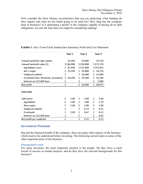Now consider the Slow Money investment(s) that you are analyzing: what funding do they require and what are the funds going to be used for? How long has the company been in business? Is it generating a profit? Is the company capable of paying all its debt obligations, not just the loan that you might be considering making?

|                                         | Year 1 |           | Year 2 |           | Year 3       |
|-----------------------------------------|--------|-----------|--------|-----------|--------------|
| Annual Sandwich sales (units)           |        | 29,200    |        | 43,800    | 54,750       |
| Annual Sandwich sales (\$)              |        | \$146,000 |        | \$219,000 | \$273,750    |
| Ingredients costs                       | \$     | 87,600    |        | \$131,400 | \$147,825    |
| Jim's wages                             | \$     | 29,200    | \$     | 43,800    | \$<br>54,750 |
| <b>Employee salaries</b>                | \$     |           | \$     | 10,000    | \$<br>12,000 |
| Overhead (rent, electricity, insurance) | \$     | 29,200    | \$     | 29,200    | \$<br>29,200 |
| Interest on \$25,000 loan               | \$     |           | \$     |           | \$<br>1,000  |
| Net profit                              | \$     |           | \$     | 14,600    | \$<br>28,975 |
| Unit costs                              |        |           |        |           |              |
| Sales price                             | \$     | 5.00      | \$     | 5.00      | \$<br>5.00   |
| Ingredients                             | \$     | 3.00      | \$     | 3.00      | \$<br>2.70   |
| Jims wages                              | \$     | 1.00      | \$     | 1.00      | \$<br>1.00   |
| <b>Employee salaries</b>                | \$     |           | \$     | 0.23      | \$<br>0.22   |
| Overheads                               | \$     | 1.00      | \$     | 0.67      | \$<br>0.53   |
| Interest on \$25,000 loan               | \$     |           | \$     |           | \$<br>0.02   |
| Net profit per sandwich                 | \$     |           | \$     | 0.33      | \$<br>0.53   |

#### **Exhibit 1**: Jim's Farm Fresh Sandwiches Summary Profit and Loss Statement

## **Investment Potential**

Beyond the financial health of the company, there are many other aspects of the business which need to be understood before investing. The following section looks at some of the other important parts of the business.

#### **Management team**

For many investors, the most important element is the people. Do they have a track record of success in similar projects, and do they have the relevant backgrounds for this business?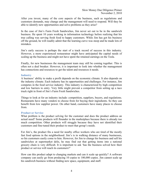After you invest, many of the core aspects of the business, such as regulations and customers demands, may change and the management will need to respond. Will they be able to identify new opportunities and solve problems as they arise?

In the case of Jim's Farm Fresh Sandwiches, Jim never set out to be in the sandwich business. He spent 10 years working in information technology before realizing that his true calling was serving fresh food to happy customers. While Jim has got his business off the ground, he will readily admit that the learning curve was steep and he made lots of mistakes.

Jim's early success is perhaps the start of a track record of success in this industry. However, a more experienced restaurateur might have anticipated the capital needs of scaling up the business and might not have spent the retained earnings on the Tesla.

Finally, for new businesses the management team may still be coming together. This is often not a deal breaker. However, it is important to look into whether the management has connections and resources to get the talent and resources it needs.

#### **Industry**

A business' ability to make a profit depends on the economic climate. It also depends on the industry climate. Each industry has its opportunities and challenges. For instance, Jim competes in the food service industry. This industry is characterized by high competition and low barriers to entry. Very little might prevent a competitor from setting up a taco truck right in front of Jim's Farm Fresh Sandwiches.

Things to look at for an industry include: competition, suppliers, buyers, and regulations. Restaurants have many vendors to choose from for buying their ingredients. So they can benefit from low supplier power. On other hand, customers have many places to choose from.

#### **Product or Service**

What problem is the product solving for the customer and does the product address an actual need? Some products will flounder in the marketplace because there is already too much competition. Other products will struggle because they have not identified their customers and fine-tuned their product to meet that group's needs.

For Jim's, the product fits a need for nearby office workers who are tired of the mostly fast food options in the neighborhood. Jim's is in walking distance of many businesses, so his customers easily come to him. However, for Jim to change his business and sell his sandwiches at supermarket delis, he may find out that getting items into a national grocery chain is very difficult. It is important to ask 'has the business solved how their product or service will reach its customers?'

How can this product adapt to changing markets and can it scale up quickly? A software company can easily go from producing 10 copies to 100,000 copies. Jim cannot scale up his sandwich business without finding new space, equipment, and staff.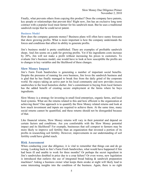Finally, what prevents others from copying this product? Does the company have patents, key people or relationships that prevent this? Right now, Jim has an exclusive long term contract with a popular local meat farmer for his sandwich meat. But he uses a traditional sandwich recipe that he could never patent.

#### **Business Model**

How does the company generate money? Business plans will often have sunny forecasts that show growing profits. What is more important is how the company understands the forces and conditions that affect its ability to generate profits.

Jim's business model is pretty established. There are examples of profitable sandwich shops. And Jim seems on a path for growing profits. Yet if his ingredients costs increase by 20%, Jim will not make a profit without increasing his prices to customers. To evaluate Jim's business model, one would have to look at how susceptible the profits are to changes in key variables and the likelihood of these changes.

#### **Slow Money Impact**

Jim's Farm Fresh Sandwiches is generating a number of important social benefits. Despite the pressures of running his own business, Jim loves the sandwich business and is glad that he has finally managed to break free from the daily grind of the corporate world. He enjoys taking an active part in his local community and now provides excess sandwiches to the local homeless shelter. Jim's commitment to buying from local farmers has the added benefit of creating secure employment at the farms where he buys ingredients.

Slow Money is a strategy for investing in small food enterprises, organic farms, and local food systems. What are the returns related to this and how efficient is the organization at achieving them? One approach is to quantify the Slow Money related returns and look at how much investment and inputs are required to achieve them. At the same time, many social returns cannot be quantified, and these returns should not be disregarded because of that.

Like financial returns, Slow Money returns will vary in their potential and depend on certain factors and conditions. Are you comfortable with the Slow Money potential impact and its likelihood? For example, businesses that sell compost to farmers may be more likely to improve soil fertility than an organization that invested a portion of its profits in researching soil fertility. However, improvements in our understanding of soil fertility could have global reach.

#### **Risk Assessment**

When conducting your due diligence, it is vital to remember that things can and do go wrong. Looking back to Jim's Farm Fresh Sandwiches, what would have happened if Jim had been ill and unable to work for three months? Or perhaps the secret ingredient in Jim's sandwiches doubled in price due to a crop failure? Or even worse, new legislation is introduced that outlaws the use of integrated bread baking  $\&$  sandwich preparation machines? Asking a business owner what keeps them awake at night will likely lead to some interesting insights into the condition of the business. Again, there is no right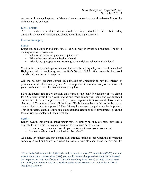answer but it always inspires confidence when an owner has a solid understanding of the risks facing the business.

## **Deal Terms**

The deal or the terms of investment should be simple, should be fair to both sides, durable in the face of surprises and should reward the right behavior.

#### **Loan versus equity**

#### *Loans*

Loans can be a simpler and sometimes less risky way to invest in a business. The three main questions for loans are:

- What is the collateral guaranteeing the loan?
- What other loans does the business have?
- What is the appropriate interest rate given the risk associated with the loan?

What is the loan secured against and can that asset be sold quickly for close to its value? Highly specialized machinery, such as Jim's SARNIE3000, often cannot be both sold quickly and near its purchase price.

Can the business generate enough cash through its operations to pay the interest or payments on all of its loan payments? It is important to examine not just the terms of your loan but also the other loans the company has.

Does the interest rate match the risk and returns of the loan? For instance, if you aimed for a 5% return overall from your lending and made 10 one year loans, and you expected one of them to be a complete loss, to get your targeted return you would have had to charge a 16.7% interest rate on all the loans. <sup>1</sup> While the numbers in this example may or may not look similar to a potential Slow Money investment, the point remains important. That is, investors should look to make a reasonable return on their investments given the level of risk associated with the investment.

### *Equity*

Equity investments give an entrepreneur more flexibility but they are more difficult to evaluate for investors. For equity investments, two main questions are:

- Exit strategy when and how do you realize a return on your investment?
- Valuation how should the business be valued?

An equity investment can only be paid back through certain events. Often this is when the company is sold and sometimes when the owners generate enough cash to buy out the

<sup>&</sup>lt;sup>1</sup> If you make 10 investments of \$1k each, and you want to make 5% total return (\$500), and you expect one to be a complete loss (-\$1k), you would have to charge each of them 16.7% interest just to generate a 5% rate of return (\$1,500 / 9 remaining investments). Note that the interest rate quickly goes down as you increase the number of investments and reduce losses/risk of loss. (Craig Wichner)